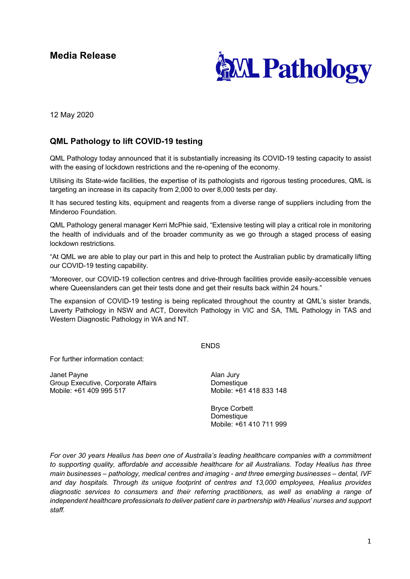# **Media Release**



12 May 2020

## **QML Pathology to lift COVID-19 testing**

QML Pathology today announced that it is substantially increasing its COVID-19 testing capacity to assist with the easing of lockdown restrictions and the re-opening of the economy.

Utilising its State-wide facilities, the expertise of its pathologists and rigorous testing procedures, QML is targeting an increase in its capacity from 2,000 to over 8,000 tests per day.

It has secured testing kits, equipment and reagents from a diverse range of suppliers including from the Minderoo Foundation.

QML Pathology general manager Kerri McPhie said, "Extensive testing will play a critical role in monitoring the health of individuals and of the broader community as we go through a staged process of easing lockdown restrictions.

"At QML we are able to play our part in this and help to protect the Australian public by dramatically lifting our COVID-19 testing capability.

"Moreover, our COVID-19 collection centres and drive-through facilities provide easily-accessible venues where Queenslanders can get their tests done and get their results back within 24 hours."

The expansion of COVID-19 testing is being replicated throughout the country at QML's sister brands, Laverty Pathology in NSW and ACT, Dorevitch Pathology in VIC and SA, TML Pathology in TAS and Western Diagnostic Pathology in WA and NT.

### ENDS

For further information contact:

Janet Payne Group Executive, Corporate Affairs Mobile: +61 409 995 517

Alan Jury Domestique Mobile: +61 418 833 148

Bryce Corbett Domestique Mobile: +61 410 711 999

*For over 30 years Healius has been one of Australia's leading healthcare companies with a commitment to supporting quality, affordable and accessible healthcare for all Australians. Today Healius has three main businesses – pathology, medical centres and imaging - and three emerging businesses – dental, IVF and day hospitals. Through its unique footprint of centres and 13,000 employees, Healius provides diagnostic services to consumers and their referring practitioners, as well as enabling a range of independent healthcare professionals to deliver patient care in partnership with Healius' nurses and support staff.*